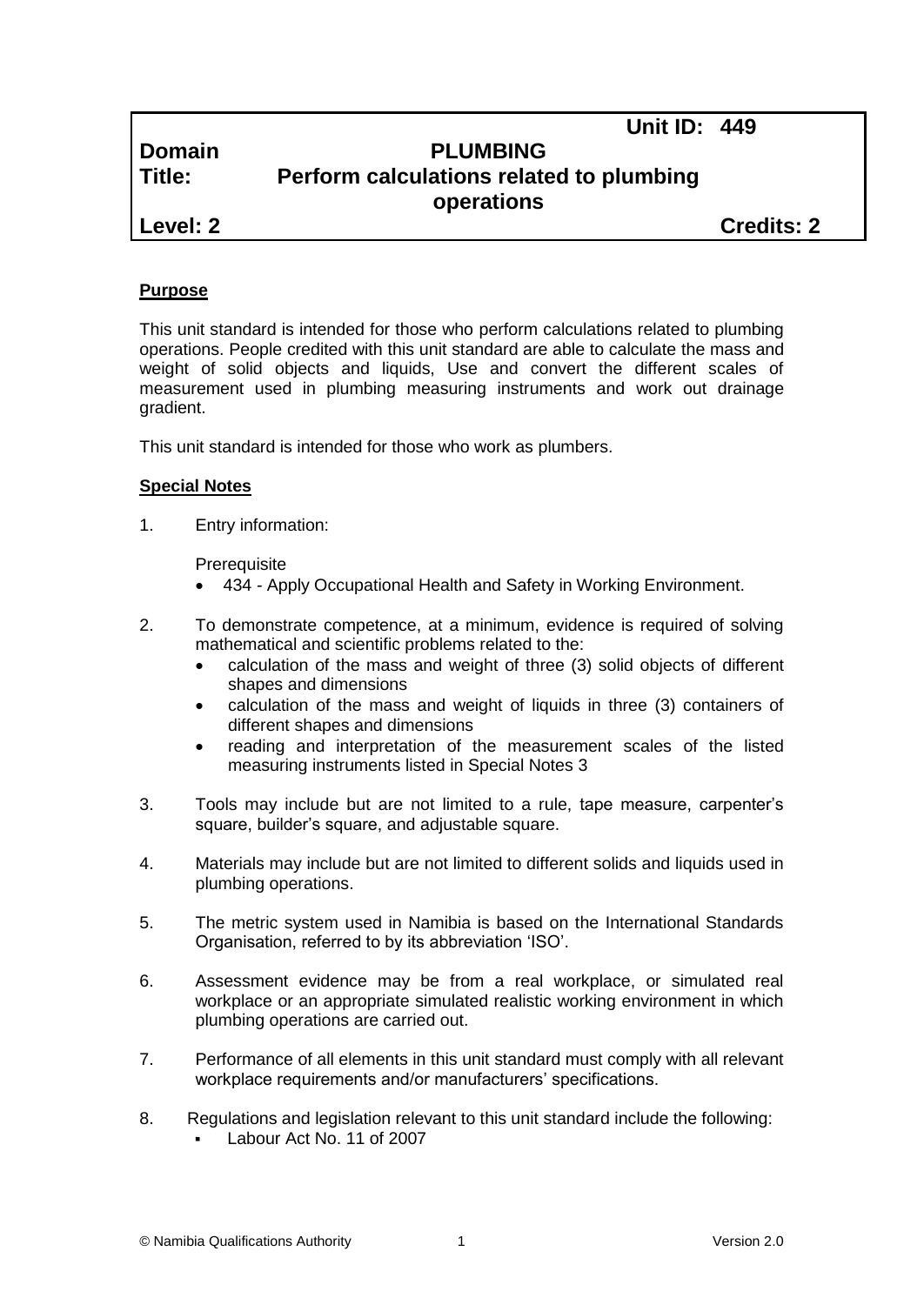**Unit ID: 449**

## **Domain PLUMBING Title: Perform calculations related to plumbing operations**

**Level: 2 Credits: 2**

#### **Purpose**

This unit standard is intended for those who perform calculations related to plumbing operations. People credited with this unit standard are able to calculate the mass and weight of solid objects and liquids, Use and convert the different scales of measurement used in plumbing measuring instruments and work out drainage gradient.

This unit standard is intended for those who work as plumbers.

#### **Special Notes**

1. Entry information:

**Prerequisite** 

- 434 *-* Apply Occupational Health and Safety in Working Environment.
- 2. To demonstrate competence, at a minimum, evidence is required of solving mathematical and scientific problems related to the:
	- calculation of the mass and weight of three (3) solid objects of different shapes and dimensions
	- calculation of the mass and weight of liquids in three (3) containers of different shapes and dimensions
	- reading and interpretation of the measurement scales of the listed measuring instruments listed in Special Notes 3
- 3. Tools may include but are not limited to a rule, tape measure, carpenter's square, builder's square, and adjustable square.
- 4. Materials may include but are not limited to different solids and liquids used in plumbing operations.
- 5. The metric system used in Namibia is based on the International Standards Organisation, referred to by its abbreviation 'ISO'.
- 6. Assessment evidence may be from a real workplace, or simulated real workplace or an appropriate simulated realistic working environment in which plumbing operations are carried out.
- 7. Performance of all elements in this unit standard must comply with all relevant workplace requirements and/or manufacturers' specifications.
- 8. Regulations and legislation relevant to this unit standard include the following: Labour Act No. 11 of 2007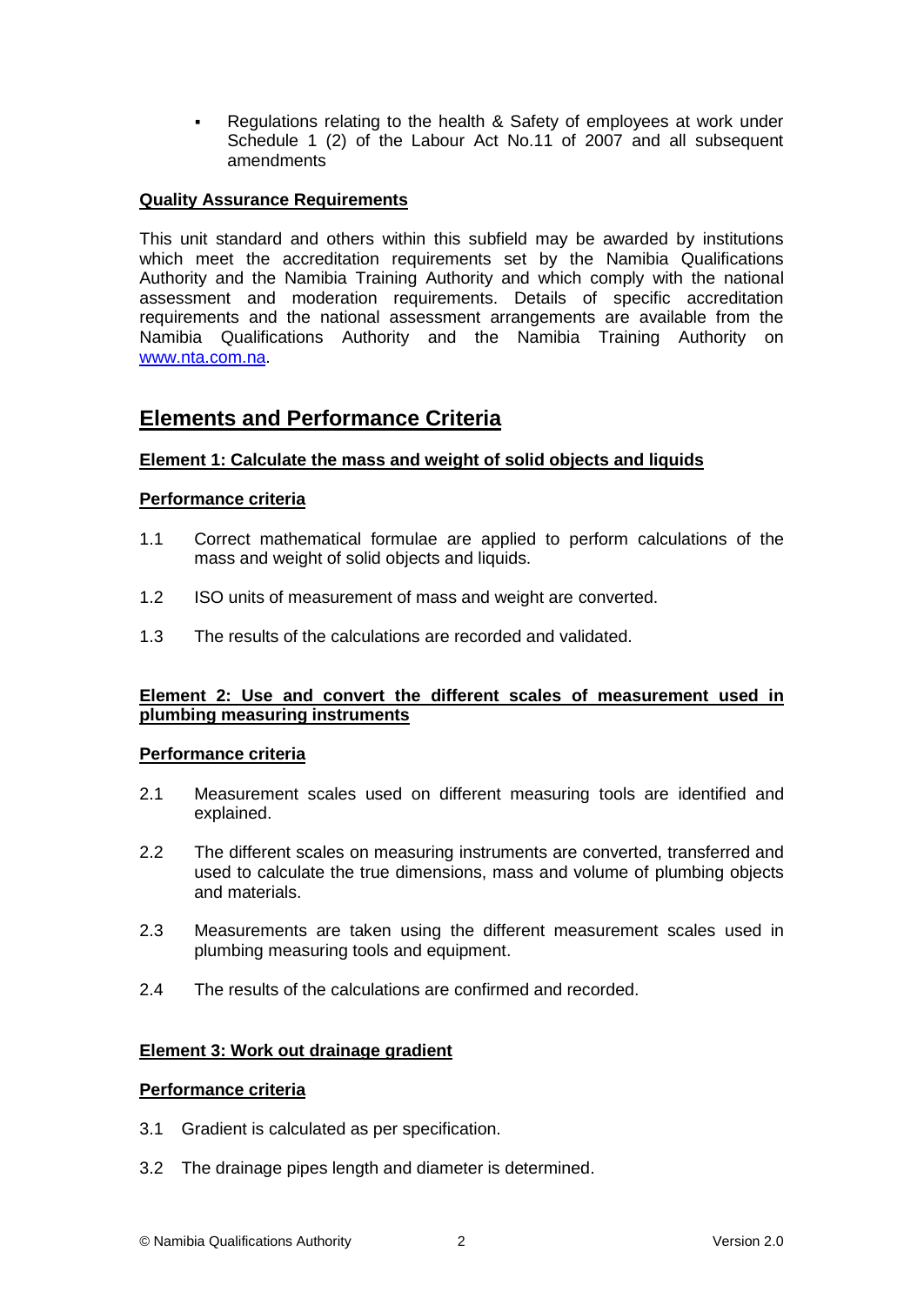Regulations relating to the health & Safety of employees at work under Schedule 1 (2) of the Labour Act No.11 of 2007 and all subsequent amendments

#### **Quality Assurance Requirements**

This unit standard and others within this subfield may be awarded by institutions which meet the accreditation requirements set by the Namibia Qualifications Authority and the Namibia Training Authority and which comply with the national assessment and moderation requirements. Details of specific accreditation requirements and the national assessment arrangements are available from the Namibia Qualifications Authority and the Namibia Training Authority on [www.nta.com.na.](http://www.nta.com.na/)

### **Elements and Performance Criteria**

#### **Element 1: Calculate the mass and weight of solid objects and liquids**

#### **Performance criteria**

- 1.1 Correct mathematical formulae are applied to perform calculations of the mass and weight of solid objects and liquids.
- 1.2 ISO units of measurement of mass and weight are converted.
- 1.3 The results of the calculations are recorded and validated.

#### **Element 2: Use and convert the different scales of measurement used in plumbing measuring instruments**

#### **Performance criteria**

- 2.1 Measurement scales used on different measuring tools are identified and explained.
- 2.2 The different scales on measuring instruments are converted, transferred and used to calculate the true dimensions, mass and volume of plumbing objects and materials.
- 2.3 Measurements are taken using the different measurement scales used in plumbing measuring tools and equipment.
- 2.4 The results of the calculations are confirmed and recorded.

#### **Element 3: Work out drainage gradient**

#### **Performance criteria**

- 3.1 Gradient is calculated as per specification.
- 3.2 The drainage pipes length and diameter is determined.